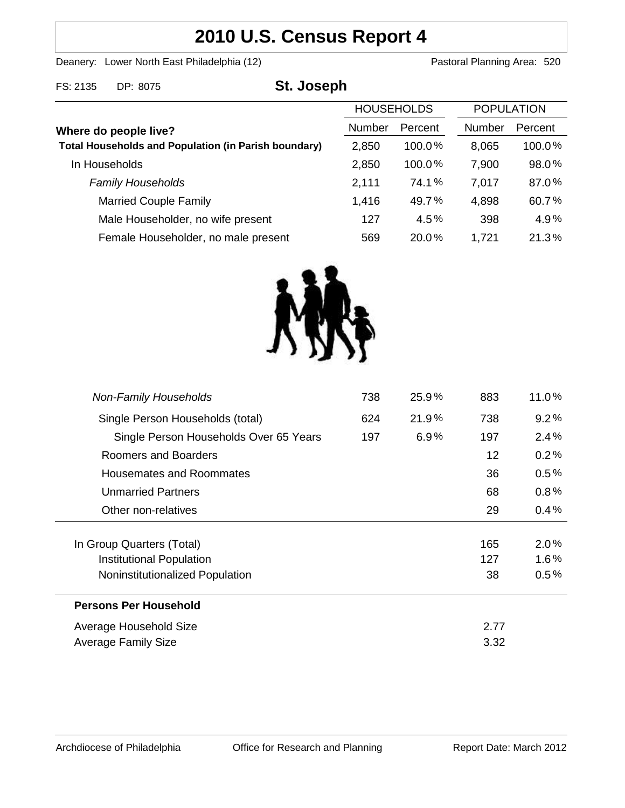# **2010 U.S. Census Report 4**

Deanery: Lower North East Philadelphia (12) Deanery: Lower North East Philadelphia (12)

| FS: 2135                                                                             | DP: 8075                            | St. Joseph    |                   |               |                   |        |
|--------------------------------------------------------------------------------------|-------------------------------------|---------------|-------------------|---------------|-------------------|--------|
|                                                                                      |                                     |               | <b>HOUSEHOLDS</b> |               | <b>POPULATION</b> |        |
| Where do people live?<br><b>Total Households and Population (in Parish boundary)</b> |                                     | <b>Number</b> | Percent           | <b>Number</b> | Percent           |        |
|                                                                                      |                                     |               | 2,850             | 100.0%        | 8,065             | 100.0% |
|                                                                                      | In Households                       |               | 2,850             | 100.0%        | 7,900             | 98.0%  |
|                                                                                      | <b>Family Households</b>            |               | 2,111             | 74.1%         | 7,017             | 87.0%  |
|                                                                                      | <b>Married Couple Family</b>        |               | 1,416             | 49.7%         | 4,898             | 60.7%  |
|                                                                                      | Male Householder, no wife present   |               | 127               | 4.5%          | 398               | 4.9%   |
|                                                                                      | Female Householder, no male present |               | 569               | 20.0%         | 1,721             | 21.3%  |



| <b>Non-Family Households</b>           | 738  | 25.9% | 883 | 11.0%   |
|----------------------------------------|------|-------|-----|---------|
| Single Person Households (total)       | 624  | 21.9% | 738 | 9.2%    |
| Single Person Households Over 65 Years | 197  | 6.9%  | 197 | 2.4%    |
| Roomers and Boarders                   |      |       | 12  | 0.2%    |
| Housemates and Roommates               |      |       | 36  | $0.5\%$ |
| <b>Unmarried Partners</b>              |      |       | 68  | 0.8%    |
| Other non-relatives                    |      |       | 29  | 0.4%    |
|                                        |      |       |     |         |
| In Group Quarters (Total)              |      |       | 165 | $2.0\%$ |
| Institutional Population               |      |       | 127 | $1.6\%$ |
| Noninstitutionalized Population        |      |       | 38  | $0.5\%$ |
| Persons Per Household                  |      |       |     |         |
| Average Household Size                 |      |       |     |         |
| <b>Average Family Size</b>             | 3.32 |       |     |         |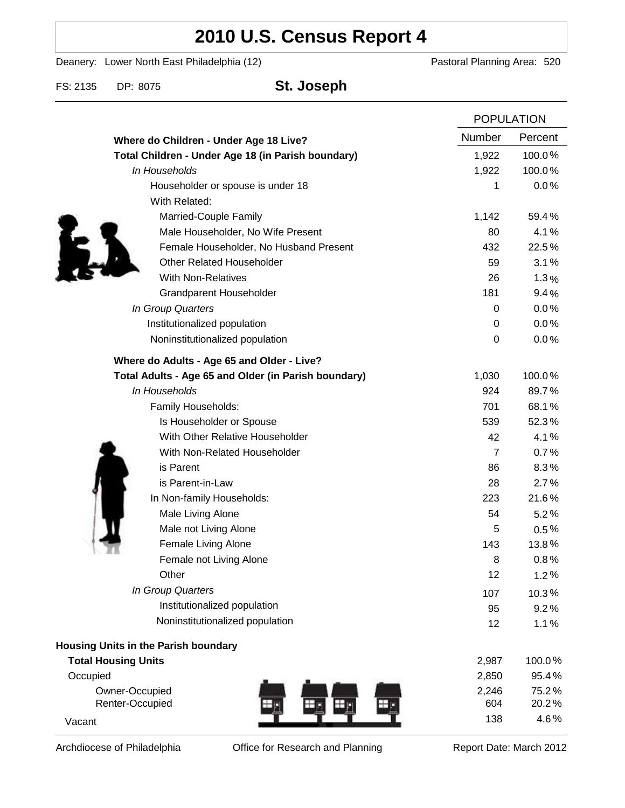# **2010 U.S. Census Report 4**

Deanery: Lower North East Philadelphia (12) Deanery: Lower North East Philadelphia (12)

FS: 2135 DP: 8075 **St. Joseph**

|                                                      | <b>POPULATION</b> |         |
|------------------------------------------------------|-------------------|---------|
| Where do Children - Under Age 18 Live?               | Number            | Percent |
| Total Children - Under Age 18 (in Parish boundary)   | 1,922             | 100.0%  |
| In Households                                        | 1,922             | 100.0%  |
| Householder or spouse is under 18                    | 1                 | 0.0%    |
| With Related:                                        |                   |         |
| Married-Couple Family                                | 1,142             | 59.4%   |
| Male Householder, No Wife Present                    | 80                | 4.1%    |
| Female Householder, No Husband Present               | 432               | 22.5%   |
| <b>Other Related Householder</b>                     | 59                | 3.1%    |
| <b>With Non-Relatives</b>                            | 26                | 1.3%    |
| Grandparent Householder                              | 181               | 9.4%    |
| In Group Quarters                                    | 0                 | 0.0%    |
| Institutionalized population                         | 0                 | 0.0%    |
| Noninstitutionalized population                      | 0                 | 0.0%    |
| Where do Adults - Age 65 and Older - Live?           |                   |         |
| Total Adults - Age 65 and Older (in Parish boundary) | 1,030             | 100.0%  |
| In Households                                        | 924               | 89.7%   |
| Family Households:                                   | 701               | 68.1%   |
| Is Householder or Spouse                             | 539               | 52.3%   |
| With Other Relative Householder                      | 42                | 4.1%    |
| With Non-Related Householder                         | $\overline{7}$    | 0.7%    |
| is Parent                                            | 86                | 8.3%    |
| is Parent-in-Law                                     | 28                | 2.7%    |
| In Non-family Households:                            | 223               | 21.6%   |
| Male Living Alone                                    | 54                | 5.2%    |
| Male not Living Alone                                | 5                 | $0.5\%$ |
| Female Living Alone                                  | 143               | 13.8%   |
| Female not Living Alone                              | 8                 | 0.8%    |
| Other                                                | 12                | 1.2%    |
| In Group Quarters                                    | 107               | 10.3%   |
| Institutionalized population                         | 95                | 9.2%    |
| Noninstitutionalized population                      | 12                | 1.1%    |
| Housing Units in the Parish boundary                 |                   |         |
| <b>Total Housing Units</b>                           | 2,987             | 100.0%  |
| Occupied                                             | 2,850             | 95.4%   |
| Owner-Occupied                                       | 2,246             | 75.2%   |
| Renter-Occupied<br>110                               | 604               | 20.2%   |
| Vacant                                               | 138               | 4.6%    |

Archdiocese of Philadelphia **Office for Research and Planning** Report Date: March 2012